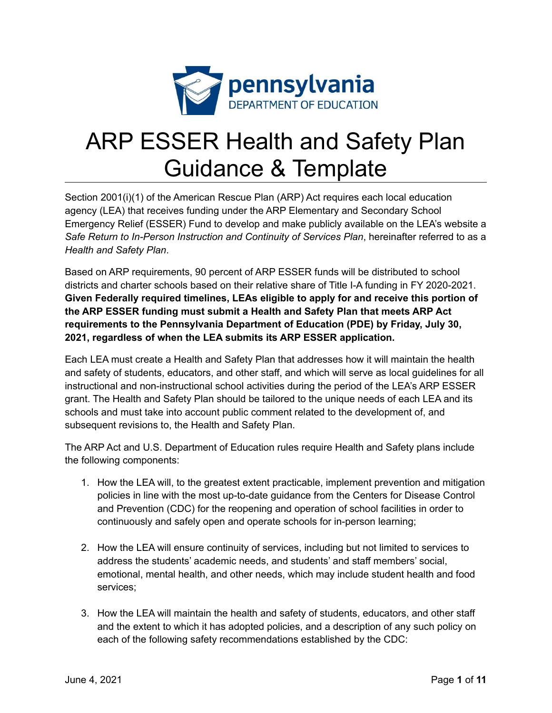

# ARP ESSER Health and Safety Plan Guidance & Template

Section 2001(i)(1) of the American Rescue Plan (ARP) Act requires each local education agency (LEA) that receives funding under the ARP Elementary and Secondary School Emergency Relief (ESSER) Fund to develop and make publicly available on the LEA's website a *Safe Return to In-Person Instruction and Continuity of Services Plan*, hereinafter referred to as a *Health and Safety Plan*.

Based on ARP requirements, 90 percent of ARP ESSER funds will be distributed to school districts and charter schools based on their relative share of Title I-A funding in FY 2020-2021. **Given Federally required timelines, LEAs eligible to apply for and receive this portion of the ARP ESSER funding must submit a Health and Safety Plan that meets ARP Act requirements to the Pennsylvania Department of Education (PDE) by Friday, July 30, 2021, regardless of when the LEA submits its ARP ESSER application.**

Each LEA must create a Health and Safety Plan that addresses how it will maintain the health and safety of students, educators, and other staff, and which will serve as local guidelines for all instructional and non-instructional school activities during the period of the LEA's ARP ESSER grant. The Health and Safety Plan should be tailored to the unique needs of each LEA and its schools and must take into account public comment related to the development of, and subsequent revisions to, the Health and Safety Plan.

The ARP Act and U.S. Department of Education rules require Health and Safety plans include the following components:

- 1. How the LEA will, to the greatest extent practicable, implement prevention and mitigation policies in line with the most up-to-date guidance from the Centers for Disease Control and Prevention (CDC) for the reopening and operation of school facilities in order to continuously and safely open and operate schools for in-person learning;
- 2. How the LEA will ensure continuity of services, including but not limited to services to address the students' academic needs, and students' and staff members' social, emotional, mental health, and other needs, which may include student health and food services;
- 3. How the LEA will maintain the health and safety of students, educators, and other staff and the extent to which it has adopted policies, and a description of any such policy on each of the following safety recommendations established by the CDC: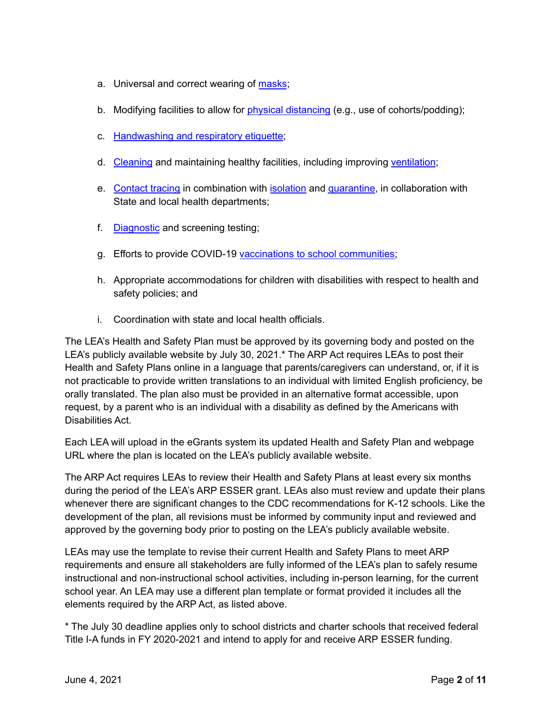- a. Universal and correct wearing of [masks](https://www.cdc.gov/coronavirus/2019-ncov/prevent-getting-sick/cloth-face-cover-guidance.html?CDC_AA_refVal=https%3A%2F%2Fwww.cdc.gov%2Fcoronavirus%2F2019-ncov%2Fcommunity%2Fschools-childcare%2Fcloth-face-cover.html);
- b. Modifying facilities to allow for physical [distancing](https://www.cdc.gov/coronavirus/2019-ncov/prevent-getting-sick/social-distancing.html) (e.g., use of cohorts/podding);
- c. [Handwashing](https://www.cdc.gov/handwashing/when-how-handwashing.html) and respiratory etiquette;
- d. [Cleaning](https://www.cdc.gov/coronavirus/2019-ncov/community/clean-disinfect/index.html) and maintaining healthy facilities, including improving [ventilation](https://www.cdc.gov/coronavirus/2019-ncov/community/schools-childcare/ventilation.html);
- e. [Contact](https://www.cdc.gov/coronavirus/2019-ncov/php/contact-tracing/contact-tracing-resources.html?CDC_AA_refVal=https%3A%2F%2Fwww.cdc.gov%2Fcoronavirus%2F2019-ncov%2Fphp%2Fopen-america%2Fcontact-tracing-resources.html) tracing in combination with [isolation](https://www.cdc.gov/coronavirus/2019-ncov/if-you-are-sick/isolation.html) and [quarantine](https://www.cdc.gov/coronavirus/2019-ncov/if-you-are-sick/quarantine.html), in collaboration with State and local health departments;
- f. [Diagnostic](https://www.cdc.gov/coronavirus/2019-ncov/lab/pooling-procedures.html) and screening testing;
- g. Efforts to provide COVID-19 vaccinations to school [communities;](https://www.cdc.gov/coronavirus/2019-ncov/vaccines/toolkits/schools-childcare.html)
- h. Appropriate accommodations for children with disabilities with respect to health and safety policies; and
- i. Coordination with state and local health officials.

The LEA's Health and Safety Plan must be approved by its governing body and posted on the LEA's publicly available website by July 30, 2021.\* The ARP Act requires LEAs to post their Health and Safety Plans online in a language that parents/caregivers can understand, or, if it is not practicable to provide written translations to an individual with limited English proficiency, be orally translated. The plan also must be provided in an alternative format accessible, upon request, by a parent who is an individual with a disability as defined by the Americans with Disabilities Act.

Each LEA will upload in the eGrants system its updated Health and Safety Plan and webpage URL where the plan is located on the LEA's publicly available website.

The ARP Act requires LEAs to review their Health and Safety Plans at least every six months during the period of the LEA's ARP ESSER grant. LEAs also must review and update their plans whenever there are significant changes to the CDC recommendations for K-12 schools. Like the development of the plan, all revisions must be informed by community input and reviewed and approved by the governing body prior to posting on the LEA's publicly available website.

LEAs may use the template to revise their current Health and Safety Plans to meet ARP requirements and ensure all stakeholders are fully informed of the LEA's plan to safely resume instructional and non-instructional school activities, including in-person learning, for the current school year. An LEA may use a different plan template or format provided it includes all the elements required by the ARP Act, as listed above.

\* The July 30 deadline applies only to school districts and charter schools that received federal Title I-A funds in FY 2020-2021 and intend to apply for and receive ARP ESSER funding.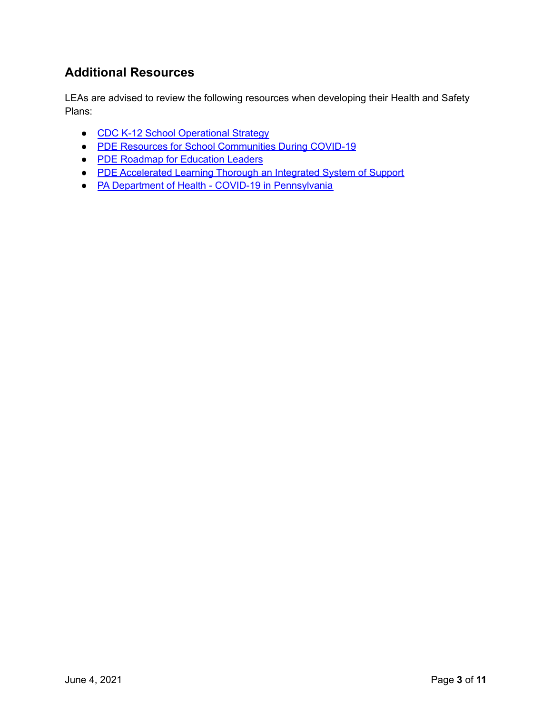## **Additional Resources**

LEAs are advised to review the following resources when developing their Health and Safety Plans:

- CDC K-12 School [Operational](https://www.cdc.gov/coronavirus/2019-ncov/community/schools-childcare/operation-strategy.html?CDC_AA_refVal=https%3A%2F%2Fwww.cdc.gov%2Fcoronavirus%2F2019-ncov%2Fcommunity%2Fschools-childcare%2Fschools.html) Strategy
- PDE Resources for School [Communities](https://www.education.pa.gov/Schools/safeschools/emergencyplanning/COVID-19/Pages/default.aspx) During COVID-19
- PDE Roadmap for [Education](https://www.education.pa.gov/Schools/safeschools/emergencyplanning/COVID-19/SchoolReopeningGuidance/ReopeningPreKto12/CreatingEquitableSchoolSystems/Pages/default.aspx) Leaders
- PDE [Accelerated](https://www.education.pa.gov/Schools/safeschools/emergencyplanning/COVID-19/SchoolReopeningGuidance/ReopeningPreKto12/CreatingEquitableSchoolSystems/AcceleratedLearning/Pages/default.aspx) Learning Thorough an Integrated System of Support
- PA Department of Health COVID-19 in [Pennsylvania](https://www.health.pa.gov/topics/disease/coronavirus/Pages/Coronavirus.aspx)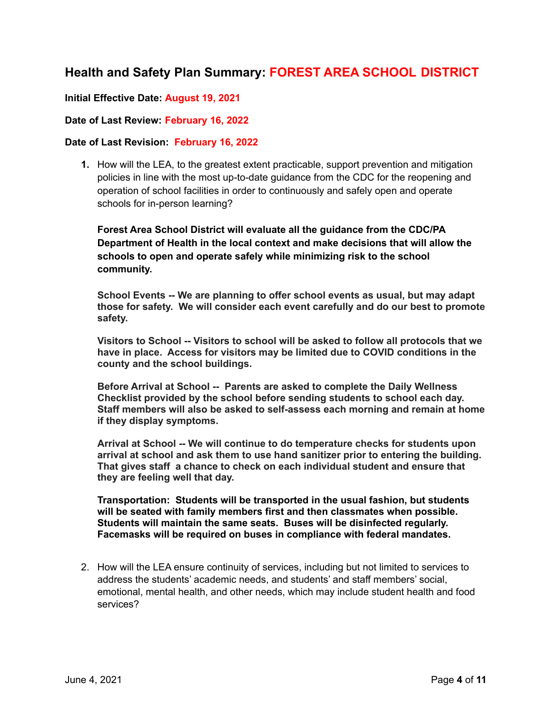## **Health and Safety Plan Summary: FOREST AREA SCHOOL DISTRICT**

### **Initial Effective Date: August 19, 2021**

#### **Date of Last Review: February 16, 2022**

#### **Date of Last Revision: February 16, 2022**

**1.** How will the LEA, to the greatest extent practicable, support prevention and mitigation policies in line with the most up-to-date guidance from the CDC for the reopening and operation of school facilities in order to continuously and safely open and operate schools for in-person learning?

**Forest Area School District will evaluate all the guidance from the CDC/PA Department of Health in the local context and make decisions that will allow the schools to open and operate safely while minimizing risk to the school community.**

**School Events -- We are planning to offer school events as usual, but may adapt those for safety. We will consider each event carefully and do our best to promote safety.**

**Visitors to School -- Visitors to school will be asked to follow all protocols that we have in place. Access for visitors may be limited due to COVID conditions in the county and the school buildings.**

**Before Arrival at School -- Parents are asked to complete the Daily Wellness Checklist provided by the school before sending students to school each day. Staff members will also be asked to self-assess each morning and remain at home if they display symptoms.**

**Arrival at School -- We will continue to do temperature checks for students upon arrival at school and ask them to use hand sanitizer prior to entering the building. That gives staff a chance to check on each individual student and ensure that they are feeling well that day.**

**Transportation: Students will be transported in the usual fashion, but students will be seated with family members first and then classmates when possible. Students will maintain the same seats. Buses will be disinfected regularly. Facemasks will be required on buses in compliance with federal mandates.**

2. How will the LEA ensure continuity of services, including but not limited to services to address the students' academic needs, and students' and staff members' social, emotional, mental health, and other needs, which may include student health and food services?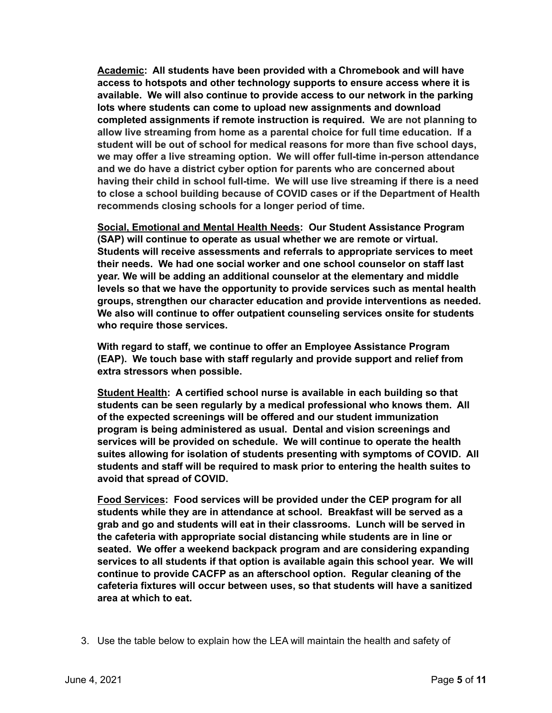**Academic: All students have been provided with a Chromebook and will have access to hotspots and other technology supports to ensure access where it is available. We will also continue to provide access to our network in the parking lots where students can come to upload new assignments and download completed assignments if remote instruction is required. We are not planning to allow live streaming from home as a parental choice for full time education. If a student will be out of school for medical reasons for more than five school days, we may offer a live streaming option. We will offer full-time in-person attendance and we do have a district cyber option for parents who are concerned about having their child in school full-time. We will use live streaming if there is a need to close a school building because of COVID cases or if the Department of Health recommends closing schools for a longer period of time.**

**Social, Emotional and Mental Health Needs: Our Student Assistance Program (SAP) will continue to operate as usual whether we are remote or virtual. Students will receive assessments and referrals to appropriate services to meet their needs. We had one social worker and one school counselor on staff last year. We will be adding an additional counselor at the elementary and middle levels so that we have the opportunity to provide services such as mental health groups, strengthen our character education and provide interventions as needed. We also will continue to offer outpatient counseling services onsite for students who require those services.**

**With regard to staff, we continue to offer an Employee Assistance Program (EAP). We touch base with staff regularly and provide support and relief from extra stressors when possible.**

**Student Health: A certified school nurse is available in each building so that students can be seen regularly by a medical professional who knows them. All of the expected screenings will be offered and our student immunization program is being administered as usual. Dental and vision screenings and services will be provided on schedule. We will continue to operate the health suites allowing for isolation of students presenting with symptoms of COVID. All students and staff will be required to mask prior to entering the health suites to avoid that spread of COVID.**

**Food Services: Food services will be provided under the CEP program for all students while they are in attendance at school. Breakfast will be served as a grab and go and students will eat in their classrooms. Lunch will be served in the cafeteria with appropriate social distancing while students are in line or seated. We offer a weekend backpack program and are considering expanding services to all students if that option is available again this school year. We will continue to provide CACFP as an afterschool option. Regular cleaning of the cafeteria fixtures will occur between uses, so that students will have a sanitized area at which to eat.**

3. Use the table below to explain how the LEA will maintain the health and safety of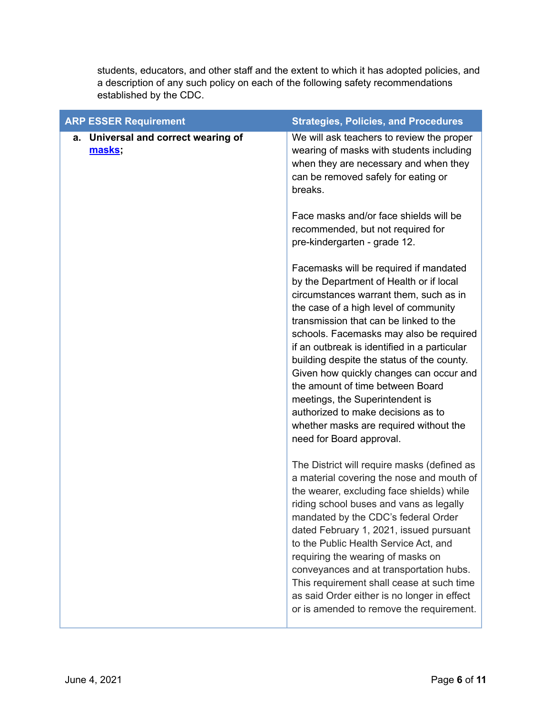students, educators, and other staff and the extent to which it has adopted policies, and a description of any such policy on each of the following safety recommendations established by the CDC.

| <b>ARP ESSER Requirement</b>                  | <b>Strategies, Policies, and Procedures</b>                                                                                                                                                                                                                                                                                                                                                                                                                                                                                                                                           |
|-----------------------------------------------|---------------------------------------------------------------------------------------------------------------------------------------------------------------------------------------------------------------------------------------------------------------------------------------------------------------------------------------------------------------------------------------------------------------------------------------------------------------------------------------------------------------------------------------------------------------------------------------|
| a. Universal and correct wearing of<br>masks; | We will ask teachers to review the proper<br>wearing of masks with students including<br>when they are necessary and when they<br>can be removed safely for eating or<br>breaks.                                                                                                                                                                                                                                                                                                                                                                                                      |
|                                               | Face masks and/or face shields will be<br>recommended, but not required for<br>pre-kindergarten - grade 12.                                                                                                                                                                                                                                                                                                                                                                                                                                                                           |
|                                               | Facemasks will be required if mandated<br>by the Department of Health or if local<br>circumstances warrant them, such as in<br>the case of a high level of community<br>transmission that can be linked to the<br>schools. Facemasks may also be required<br>if an outbreak is identified in a particular<br>building despite the status of the county.<br>Given how quickly changes can occur and<br>the amount of time between Board<br>meetings, the Superintendent is<br>authorized to make decisions as to<br>whether masks are required without the<br>need for Board approval. |
|                                               | The District will require masks (defined as<br>a material covering the nose and mouth of<br>the wearer, excluding face shields) while<br>riding school buses and vans as legally<br>mandated by the CDC's federal Order<br>dated February 1, 2021, issued pursuant<br>to the Public Health Service Act, and<br>requiring the wearing of masks on<br>conveyances and at transportation hubs.<br>This requirement shall cease at such time<br>as said Order either is no longer in effect<br>or is amended to remove the requirement.                                                   |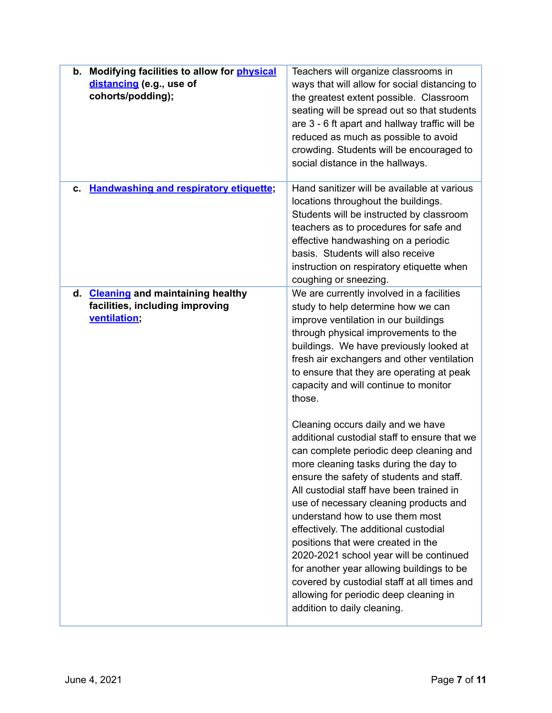| b. Modifying facilities to allow for physical<br>distancing (e.g., use of<br>cohorts/podding);   | Teachers will organize classrooms in<br>ways that will allow for social distancing to<br>the greatest extent possible. Classroom<br>seating will be spread out so that students<br>are 3 - 6 ft apart and hallway traffic will be<br>reduced as much as possible to avoid<br>crowding. Students will be encouraged to<br>social distance in the hallways.                                                                                                                                                                                                                                                                                 |
|--------------------------------------------------------------------------------------------------|-------------------------------------------------------------------------------------------------------------------------------------------------------------------------------------------------------------------------------------------------------------------------------------------------------------------------------------------------------------------------------------------------------------------------------------------------------------------------------------------------------------------------------------------------------------------------------------------------------------------------------------------|
| c. Handwashing and respiratory etiquette;                                                        | Hand sanitizer will be available at various<br>locations throughout the buildings.<br>Students will be instructed by classroom<br>teachers as to procedures for safe and<br>effective handwashing on a periodic<br>basis. Students will also receive<br>instruction on respiratory etiquette when<br>coughing or sneezing.                                                                                                                                                                                                                                                                                                                |
| <b>Cleaning and maintaining healthy</b><br>d.<br>facilities, including improving<br>ventilation; | We are currently involved in a facilities<br>study to help determine how we can<br>improve ventilation in our buildings<br>through physical improvements to the<br>buildings. We have previously looked at<br>fresh air exchangers and other ventilation<br>to ensure that they are operating at peak<br>capacity and will continue to monitor<br>those.                                                                                                                                                                                                                                                                                  |
|                                                                                                  | Cleaning occurs daily and we have<br>additional custodial staff to ensure that we<br>can complete periodic deep cleaning and<br>more cleaning tasks during the day to<br>ensure the safety of students and staff.<br>All custodial staff have been trained in<br>use of necessary cleaning products and<br>understand how to use them most<br>effectively. The additional custodial<br>positions that were created in the<br>2020-2021 school year will be continued<br>for another year allowing buildings to be<br>covered by custodial staff at all times and<br>allowing for periodic deep cleaning in<br>addition to daily cleaning. |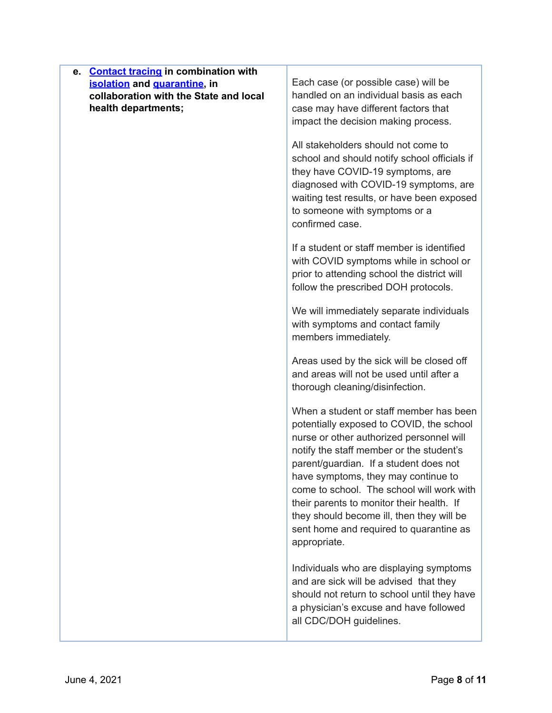| e. Contact tracing in combination with<br>isolation and quarantine, in<br>collaboration with the State and local<br>health departments; | Each case (or possible case) will be<br>handled on an individual basis as each<br>case may have different factors that<br>impact the decision making process.                                                                                                                                                                                                                                                                                                  |
|-----------------------------------------------------------------------------------------------------------------------------------------|----------------------------------------------------------------------------------------------------------------------------------------------------------------------------------------------------------------------------------------------------------------------------------------------------------------------------------------------------------------------------------------------------------------------------------------------------------------|
|                                                                                                                                         | All stakeholders should not come to<br>school and should notify school officials if<br>they have COVID-19 symptoms, are<br>diagnosed with COVID-19 symptoms, are<br>waiting test results, or have been exposed<br>to someone with symptoms or a<br>confirmed case.                                                                                                                                                                                             |
|                                                                                                                                         | If a student or staff member is identified<br>with COVID symptoms while in school or<br>prior to attending school the district will<br>follow the prescribed DOH protocols.                                                                                                                                                                                                                                                                                    |
|                                                                                                                                         | We will immediately separate individuals<br>with symptoms and contact family<br>members immediately.                                                                                                                                                                                                                                                                                                                                                           |
|                                                                                                                                         | Areas used by the sick will be closed off<br>and areas will not be used until after a<br>thorough cleaning/disinfection.                                                                                                                                                                                                                                                                                                                                       |
|                                                                                                                                         | When a student or staff member has been<br>potentially exposed to COVID, the school<br>nurse or other authorized personnel will<br>notify the staff member or the student's<br>parent/guardian. If a student does not<br>have symptoms, they may continue to<br>come to school. The school will work with<br>their parents to monitor their health. If<br>they should become ill, then they will be<br>sent home and required to quarantine as<br>appropriate. |
|                                                                                                                                         | Individuals who are displaying symptoms<br>and are sick will be advised that they<br>should not return to school until they have<br>a physician's excuse and have followed<br>all CDC/DOH guidelines.                                                                                                                                                                                                                                                          |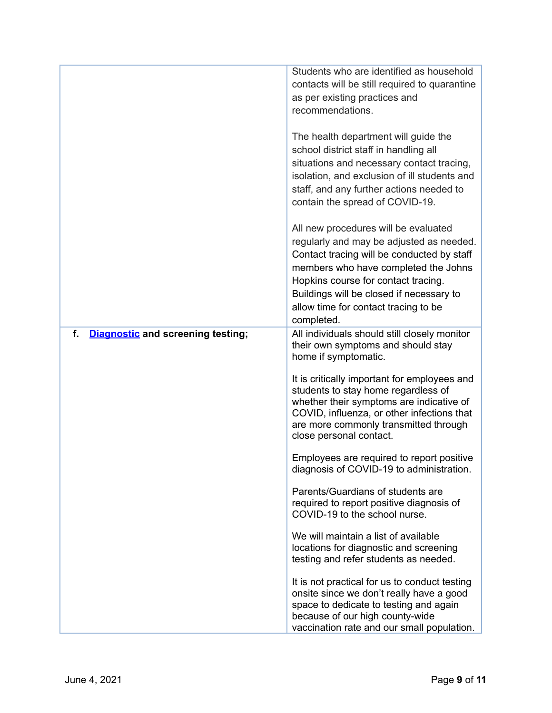|                                                | Students who are identified as household<br>contacts will be still required to quarantine<br>as per existing practices and<br>recommendations.                                                                                                                                                                  |
|------------------------------------------------|-----------------------------------------------------------------------------------------------------------------------------------------------------------------------------------------------------------------------------------------------------------------------------------------------------------------|
|                                                | The health department will guide the<br>school district staff in handling all<br>situations and necessary contact tracing,<br>isolation, and exclusion of ill students and<br>staff, and any further actions needed to<br>contain the spread of COVID-19.                                                       |
|                                                | All new procedures will be evaluated<br>regularly and may be adjusted as needed.<br>Contact tracing will be conducted by staff<br>members who have completed the Johns<br>Hopkins course for contact tracing.<br>Buildings will be closed if necessary to<br>allow time for contact tracing to be<br>completed. |
| f.<br><b>Diagnostic and screening testing;</b> | All individuals should still closely monitor<br>their own symptoms and should stay<br>home if symptomatic.                                                                                                                                                                                                      |
|                                                | It is critically important for employees and<br>students to stay home regardless of<br>whether their symptoms are indicative of<br>COVID, influenza, or other infections that<br>are more commonly transmitted through<br>close personal contact.                                                               |
|                                                | Employees are required to report positive<br>diagnosis of COVID-19 to administration.                                                                                                                                                                                                                           |
|                                                | Parents/Guardians of students are<br>required to report positive diagnosis of<br>COVID-19 to the school nurse.                                                                                                                                                                                                  |
|                                                | We will maintain a list of available<br>locations for diagnostic and screening<br>testing and refer students as needed.                                                                                                                                                                                         |
|                                                | It is not practical for us to conduct testing<br>onsite since we don't really have a good<br>space to dedicate to testing and again<br>because of our high county-wide<br>vaccination rate and our small population.                                                                                            |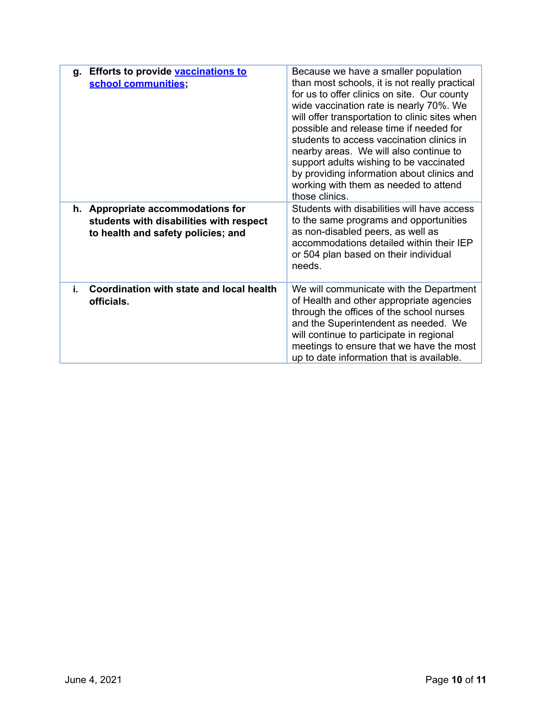| g. Efforts to provide <b>vaccinations to</b><br>school communities;                                                | Because we have a smaller population<br>than most schools, it is not really practical<br>for us to offer clinics on site. Our county<br>wide vaccination rate is nearly 70%. We<br>will offer transportation to clinic sites when<br>possible and release time if needed for<br>students to access vaccination clinics in<br>nearby areas. We will also continue to<br>support adults wishing to be vaccinated<br>by providing information about clinics and<br>working with them as needed to attend<br>those clinics. |
|--------------------------------------------------------------------------------------------------------------------|-------------------------------------------------------------------------------------------------------------------------------------------------------------------------------------------------------------------------------------------------------------------------------------------------------------------------------------------------------------------------------------------------------------------------------------------------------------------------------------------------------------------------|
| h. Appropriate accommodations for<br>students with disabilities with respect<br>to health and safety policies; and | Students with disabilities will have access<br>to the same programs and opportunities<br>as non-disabled peers, as well as<br>accommodations detailed within their IEP<br>or 504 plan based on their individual<br>needs.                                                                                                                                                                                                                                                                                               |
| Coordination with state and local health<br>i.<br>officials.                                                       | We will communicate with the Department<br>of Health and other appropriate agencies<br>through the offices of the school nurses<br>and the Superintendent as needed. We<br>will continue to participate in regional<br>meetings to ensure that we have the most<br>up to date information that is available.                                                                                                                                                                                                            |